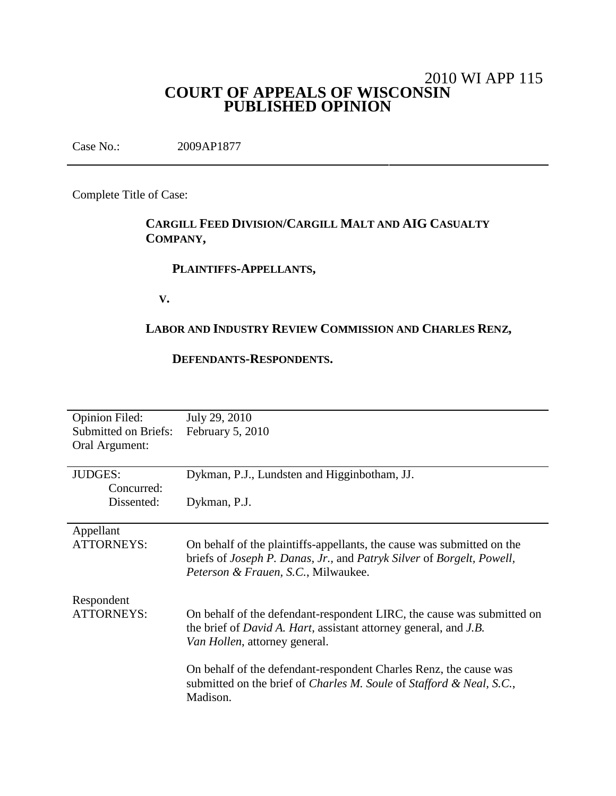# 2010 WI APP 115 **COURT OF APPEALS OF WISCONSIN PUBLISHED OPINION**

Case No.: 2009AP1877

Complete Title of Case:

# **CARGILL FEED DIVISION/CARGILL MALT AND AIG CASUALTY COMPANY,**

# **PLAINTIFFS-APPELLANTS,**

**V.**

# **LABOR AND INDUSTRY REVIEW COMMISSION AND CHARLES RENZ,**

# **DEFENDANTS-RESPONDENTS.**

| <b>Opinion Filed:</b><br><b>Submitted on Briefs:</b><br>Oral Argument: | July 29, 2010<br>February 5, 2010                                                                                                                                                                 |
|------------------------------------------------------------------------|---------------------------------------------------------------------------------------------------------------------------------------------------------------------------------------------------|
| <b>JUDGES:</b>                                                         | Dykman, P.J., Lundsten and Higginbotham, JJ.                                                                                                                                                      |
| Concurred:<br>Dissented:                                               | Dykman, P.J.                                                                                                                                                                                      |
| Appellant<br><b>ATTORNEYS:</b>                                         | On behalf of the plaintiffs-appellants, the cause was submitted on the<br>briefs of Joseph P. Danas, Jr., and Patryk Silver of Borgelt, Powell,<br><i>Peterson &amp; Frauen, S.C., Milwaukee.</i> |
| Respondent<br><b>ATTORNEYS:</b>                                        | On behalf of the defendant-respondent LIRC, the cause was submitted on<br>the brief of <i>David A. Hart</i> , assistant attorney general, and <i>J.B.</i><br>Van Hollen, attorney general.        |
|                                                                        | On behalf of the defendant-respondent Charles Renz, the cause was<br>submitted on the brief of Charles M. Soule of Stafford & Neal, S.C.,<br>Madison.                                             |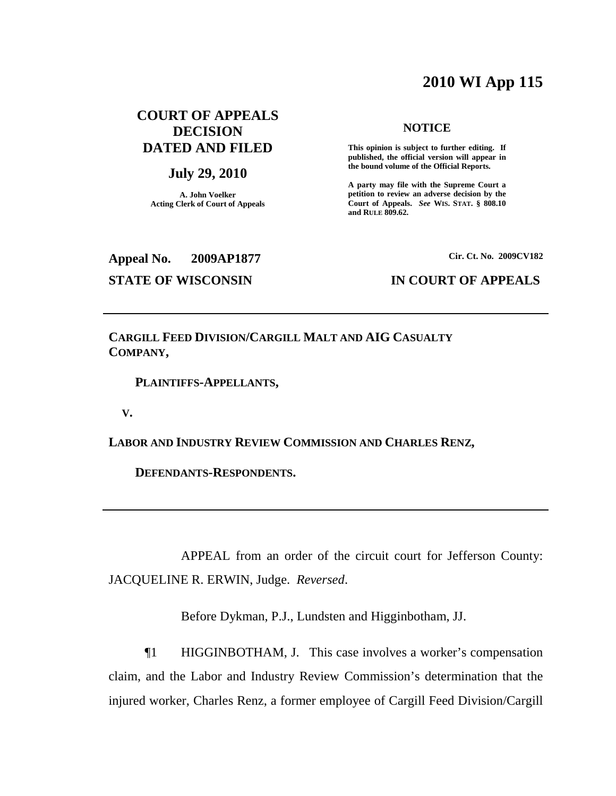# **2010 WI App 115**

# **COURT OF APPEALS DECISION DATED AND FILED**

# **July 29, 2010**

**A. John Voelker Acting Clerk of Court of Appeals**

### **NOTICE**

**This opinion is subject to further editing. If published, the official version will appear in the bound volume of the Official Reports.**

**A party may file with the Supreme Court a petition to review an adverse decision by the Court of Appeals.** *See* **WIS. STAT. § 808.10 and RULE 809.62.**

**Appeal No. 2009AP1877**

# **STATE OF WISCONSIN IN COURT OF APPEALS**

**Cir. Ct. No. 2009CV182**

**CARGILL FEED DIVISION/CARGILL MALT AND AIG CASUALTY COMPANY,**

**PLAINTIFFS-APPELLANTS,**

**V.**

**LABOR AND INDUSTRY REVIEW COMMISSION AND CHARLES RENZ,**

**DEFENDANTS-RESPONDENTS.**

APPEAL from an order of the circuit court for Jefferson County: JACQUELINE R. ERWIN, Judge. *Reversed*.

Before Dykman, P.J., Lundsten and Higginbotham, JJ.

¶1 HIGGINBOTHAM, J. This case involves a worker's compensation claim, and the Labor and Industry Review Commission's determination that the injured worker, Charles Renz, a former employee of Cargill Feed Division/Cargill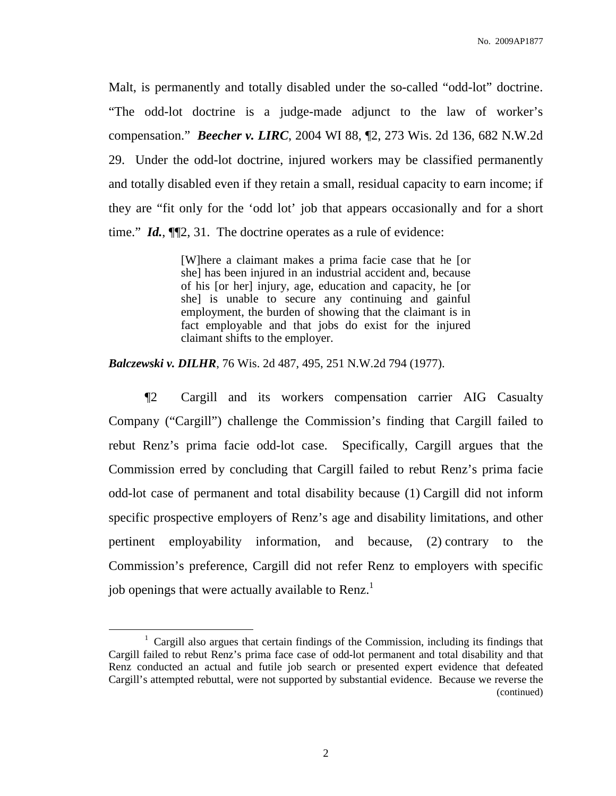Malt, is permanently and totally disabled under the so-called "odd-lot" doctrine. "The odd-lot doctrine is a judge-made adjunct to the law of worker's compensation." *Beecher v. LIRC*, 2004 WI 88, ¶2, 273 Wis. 2d 136, 682 N.W.2d 29. Under the odd-lot doctrine, injured workers may be classified permanently and totally disabled even if they retain a small, residual capacity to earn income; if they are "fit only for the 'odd lot' job that appears occasionally and for a short time." *Id.*, ¶¶2, 31. The doctrine operates as a rule of evidence:

> [W]here a claimant makes a prima facie case that he [or she] has been injured in an industrial accident and, because of his [or her] injury, age, education and capacity, he [or she] is unable to secure any continuing and gainful employment, the burden of showing that the claimant is in fact employable and that jobs do exist for the injured claimant shifts to the employer.

*Balczewski v. DILHR*, 76 Wis. 2d 487, 495, 251 N.W.2d 794 (1977).

¶2 Cargill and its workers compensation carrier AIG Casualty Company ("Cargill") challenge the Commission's finding that Cargill failed to rebut Renz's prima facie odd-lot case. Specifically, Cargill argues that the Commission erred by concluding that Cargill failed to rebut Renz's prima facie odd-lot case of permanent and total disability because (1) Cargill did not inform specific prospective employers of Renz's age and disability limitations, and other pertinent employability information, and because, (2) contrary to the Commission's preference, Cargill did not refer Renz to employers with specific job openings that were actually available to Renz.<sup>1</sup>

<sup>&</sup>lt;sup>1</sup> Cargill also argues that certain findings of the Commission, including its findings that Cargill failed to rebut Renz's prima face case of odd-lot permanent and total disability and that Renz conducted an actual and futile job search or presented expert evidence that defeated Cargill's attempted rebuttal, were not supported by substantial evidence. Because we reverse the (continued)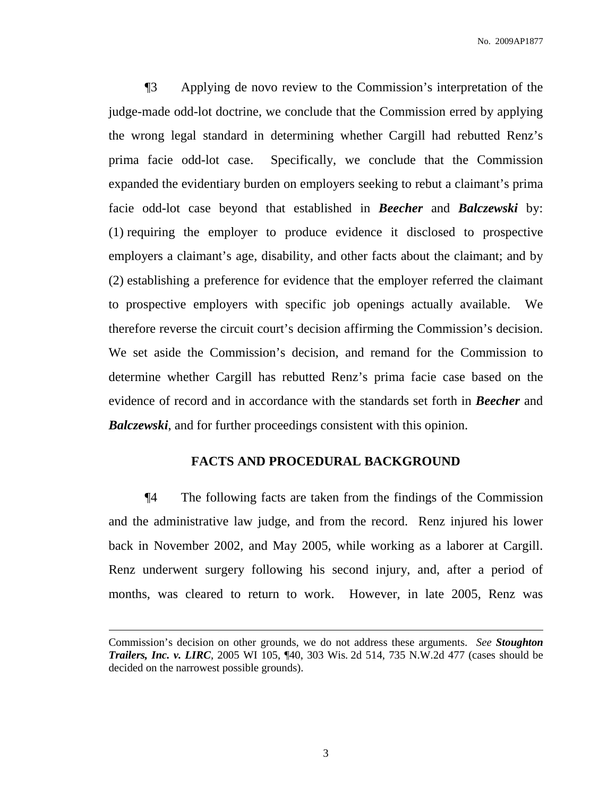¶3 Applying de novo review to the Commission's interpretation of the judge-made odd-lot doctrine, we conclude that the Commission erred by applying the wrong legal standard in determining whether Cargill had rebutted Renz's prima facie odd-lot case. Specifically, we conclude that the Commission expanded the evidentiary burden on employers seeking to rebut a claimant's prima facie odd-lot case beyond that established in *Beecher* and *Balczewski* by: (1) requiring the employer to produce evidence it disclosed to prospective employers a claimant's age, disability, and other facts about the claimant; and by (2) establishing a preference for evidence that the employer referred the claimant to prospective employers with specific job openings actually available. We therefore reverse the circuit court's decision affirming the Commission's decision. We set aside the Commission's decision, and remand for the Commission to determine whether Cargill has rebutted Renz's prima facie case based on the evidence of record and in accordance with the standards set forth in *Beecher* and *Balczewski*, and for further proceedings consistent with this opinion.

# **FACTS AND PROCEDURAL BACKGROUND**

¶4 The following facts are taken from the findings of the Commission and the administrative law judge, and from the record. Renz injured his lower back in November 2002, and May 2005, while working as a laborer at Cargill. Renz underwent surgery following his second injury, and, after a period of months, was cleared to return to work. However, in late 2005, Renz was

Commission's decision on other grounds, we do not address these arguments. *See Stoughton Trailers, Inc. v. LIRC*, 2005 WI 105, ¶40, 303 Wis. 2d 514, 735 N.W.2d 477 (cases should be decided on the narrowest possible grounds).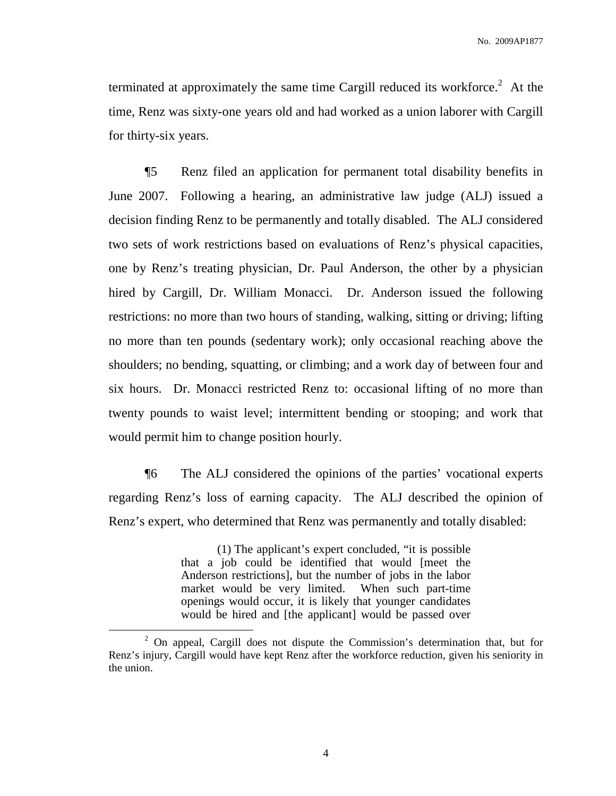terminated at approximately the same time Cargill reduced its workforce. <sup>2</sup> At the time, Renz was sixty-one years old and had worked as a union laborer with Cargill for thirty-six years.

¶5 Renz filed an application for permanent total disability benefits in June 2007. Following a hearing, an administrative law judge (ALJ) issued a decision finding Renz to be permanently and totally disabled. The ALJ considered two sets of work restrictions based on evaluations of Renz's physical capacities, one by Renz's treating physician, Dr. Paul Anderson, the other by a physician hired by Cargill, Dr. William Monacci. Dr. Anderson issued the following restrictions: no more than two hours of standing, walking, sitting or driving; lifting no more than ten pounds (sedentary work); only occasional reaching above the shoulders; no bending, squatting, or climbing; and a work day of between four and six hours. Dr. Monacci restricted Renz to: occasional lifting of no more than twenty pounds to waist level; intermittent bending or stooping; and work that would permit him to change position hourly.

¶6 The ALJ considered the opinions of the parties' vocational experts regarding Renz's loss of earning capacity. The ALJ described the opinion of Renz's expert, who determined that Renz was permanently and totally disabled:

> (1) The applicant's expert concluded, "it is possible that a job could be identified that would [meet the Anderson restrictions], but the number of jobs in the labor market would be very limited. When such part-time openings would occur, it is likely that younger candidates would be hired and [the applicant] would be passed over

<sup>2</sup> On appeal, Cargill does not dispute the Commission's determination that, but for Renz's injury, Cargill would have kept Renz after the workforce reduction, given his seniority in the union.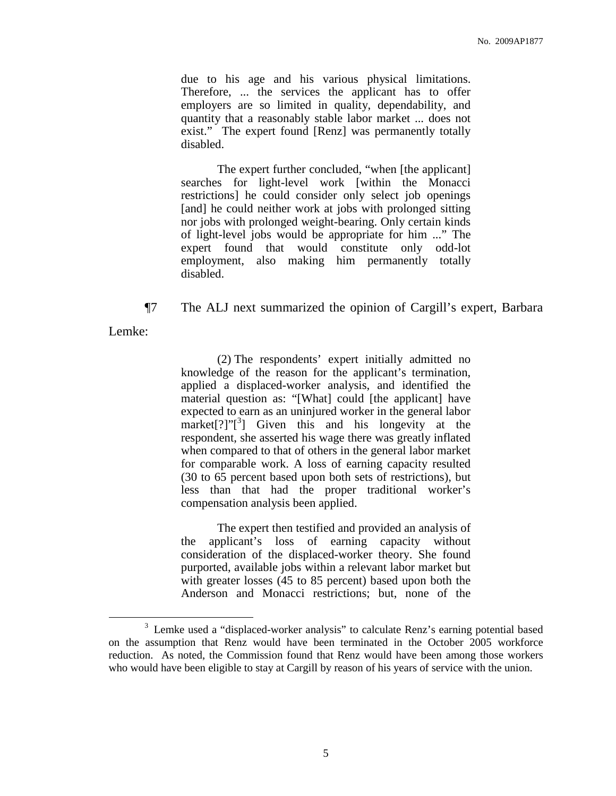due to his age and his various physical limitations. Therefore, ... the services the applicant has to offer employers are so limited in quality, dependability, and quantity that a reasonably stable labor market ... does not exist." The expert found [Renz] was permanently totally disabled.

The expert further concluded, "when [the applicant] searches for light-level work [within the Monacci restrictions] he could consider only select job openings [and] he could neither work at jobs with prolonged sitting nor jobs with prolonged weight-bearing. Only certain kinds of light-level jobs would be appropriate for him ..." The expert found that would constitute only odd-lot employment, also making him permanently totally disabled.

¶7 The ALJ next summarized the opinion of Cargill's expert, Barbara

Lemke:

(2) The respondents' expert initially admitted no knowledge of the reason for the applicant's termination, applied a displaced-worker analysis, and identified the material question as: "[What] could [the applicant] have expected to earn as an uninjured worker in the general labor market[?]"[<sup>3</sup>] Given this and his longevity at the respondent, she asserted his wage there was greatly inflated when compared to that of others in the general labor market for comparable work. A loss of earning capacity resulted (30 to 65 percent based upon both sets of restrictions), but less than that had the proper traditional worker's compensation analysis been applied.

The expert then testified and provided an analysis of the applicant's loss of earning capacity without consideration of the displaced-worker theory. She found purported, available jobs within a relevant labor market but with greater losses (45 to 85 percent) based upon both the Anderson and Monacci restrictions; but, none of the

<sup>&</sup>lt;sup>3</sup> Lemke used a "displaced-worker analysis" to calculate Renz's earning potential based on the assumption that Renz would have been terminated in the October 2005 workforce reduction. As noted, the Commission found that Renz would have been among those workers who would have been eligible to stay at Cargill by reason of his years of service with the union.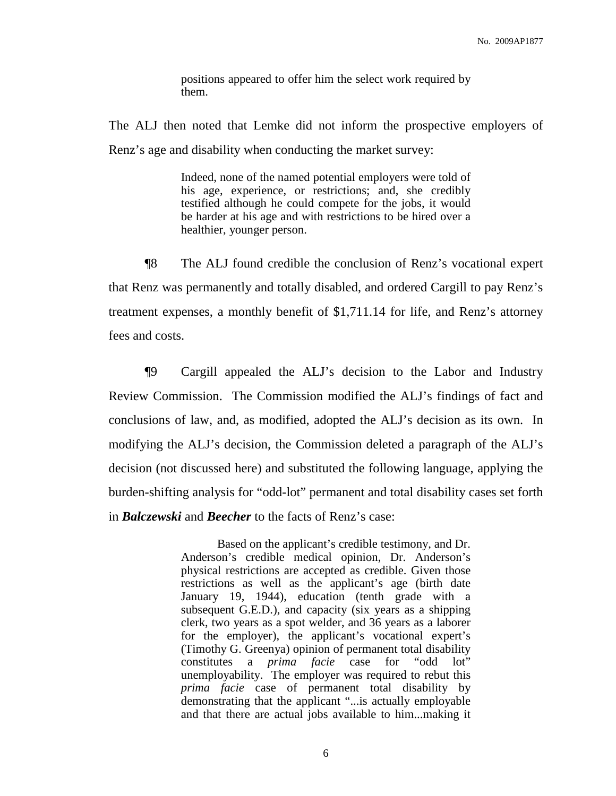positions appeared to offer him the select work required by them.

The ALJ then noted that Lemke did not inform the prospective employers of Renz's age and disability when conducting the market survey:

> Indeed, none of the named potential employers were told of his age, experience, or restrictions; and, she credibly testified although he could compete for the jobs, it would be harder at his age and with restrictions to be hired over a healthier, younger person.

¶8 The ALJ found credible the conclusion of Renz's vocational expert that Renz was permanently and totally disabled, and ordered Cargill to pay Renz's treatment expenses, a monthly benefit of \$1,711.14 for life, and Renz's attorney fees and costs.

¶9 Cargill appealed the ALJ's decision to the Labor and Industry Review Commission. The Commission modified the ALJ's findings of fact and conclusions of law, and, as modified, adopted the ALJ's decision as its own. In modifying the ALJ's decision, the Commission deleted a paragraph of the ALJ's decision (not discussed here) and substituted the following language, applying the burden-shifting analysis for "odd-lot" permanent and total disability cases set forth in *Balczewski* and *Beecher* to the facts of Renz's case:

> Based on the applicant's credible testimony, and Dr. Anderson's credible medical opinion, Dr. Anderson's physical restrictions are accepted as credible. Given those restrictions as well as the applicant's age (birth date January 19, 1944), education (tenth grade with a subsequent G.E.D.), and capacity (six years as a shipping clerk, two years as a spot welder, and 36 years as a laborer for the employer), the applicant's vocational expert's (Timothy G. Greenya) opinion of permanent total disability constitutes a *prima facie* case for "odd lot" unemployability. The employer was required to rebut this *prima facie* case of permanent total disability by demonstrating that the applicant "...is actually employable and that there are actual jobs available to him...making it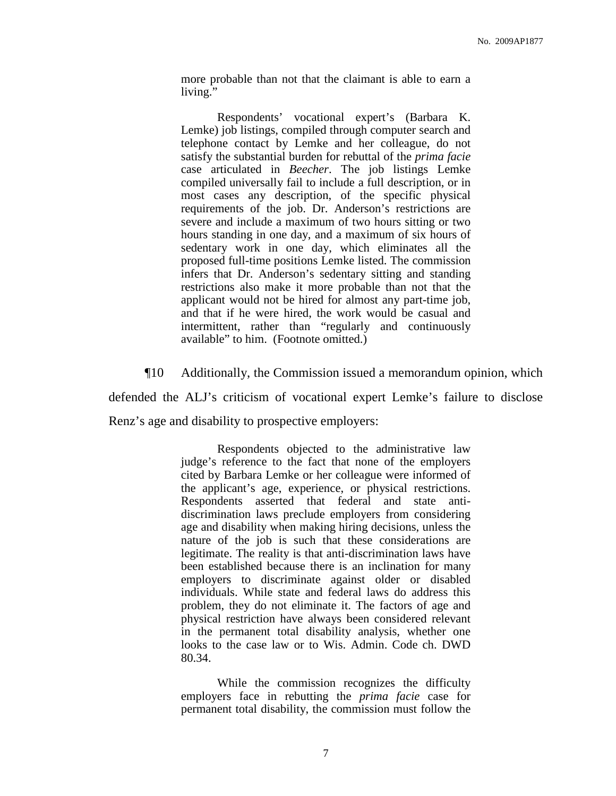more probable than not that the claimant is able to earn a living."

Respondents' vocational expert's (Barbara K. Lemke) job listings, compiled through computer search and telephone contact by Lemke and her colleague, do not satisfy the substantial burden for rebuttal of the *prima facie* case articulated in *Beecher*. The job listings Lemke compiled universally fail to include a full description, or in most cases any description, of the specific physical requirements of the job. Dr. Anderson's restrictions are severe and include a maximum of two hours sitting or two hours standing in one day, and a maximum of six hours of sedentary work in one day, which eliminates all the proposed full-time positions Lemke listed. The commission infers that Dr. Anderson's sedentary sitting and standing restrictions also make it more probable than not that the applicant would not be hired for almost any part-time job, and that if he were hired, the work would be casual and intermittent, rather than "regularly and continuously available" to him. (Footnote omitted.)

¶10 Additionally, the Commission issued a memorandum opinion, which defended the ALJ's criticism of vocational expert Lemke's failure to disclose

Renz's age and disability to prospective employers:

Respondents objected to the administrative law judge's reference to the fact that none of the employers cited by Barbara Lemke or her colleague were informed of the applicant's age, experience, or physical restrictions. Respondents asserted that federal and state antidiscrimination laws preclude employers from considering age and disability when making hiring decisions, unless the nature of the job is such that these considerations are legitimate. The reality is that anti-discrimination laws have been established because there is an inclination for many employers to discriminate against older or disabled individuals. While state and federal laws do address this problem, they do not eliminate it. The factors of age and physical restriction have always been considered relevant in the permanent total disability analysis, whether one looks to the case law or to Wis. Admin. Code ch. DWD 80.34.

While the commission recognizes the difficulty employers face in rebutting the *prima facie* case for permanent total disability, the commission must follow the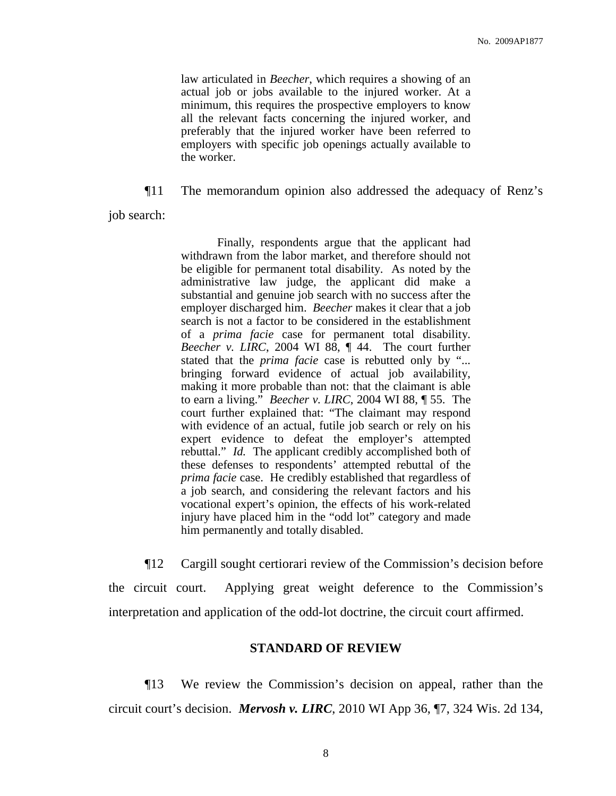law articulated in *Beecher*, which requires a showing of an actual job or jobs available to the injured worker. At a minimum, this requires the prospective employers to know all the relevant facts concerning the injured worker, and preferably that the injured worker have been referred to employers with specific job openings actually available to the worker.

¶11 The memorandum opinion also addressed the adequacy of Renz's

job search:

Finally, respondents argue that the applicant had withdrawn from the labor market, and therefore should not be eligible for permanent total disability. As noted by the administrative law judge, the applicant did make a substantial and genuine job search with no success after the employer discharged him. *Beecher* makes it clear that a job search is not a factor to be considered in the establishment of a *prima facie* case for permanent total disability. *Beecher v. LIRC*, 2004 WI 88, ¶ 44. The court further stated that the *prima facie* case is rebutted only by "... bringing forward evidence of actual job availability, making it more probable than not: that the claimant is able to earn a living." *Beecher v. LIRC*, 2004 WI 88, ¶ 55. The court further explained that: "The claimant may respond with evidence of an actual, futile job search or rely on his expert evidence to defeat the employer's attempted rebuttal." *Id.* The applicant credibly accomplished both of these defenses to respondents' attempted rebuttal of the *prima facie* case. He credibly established that regardless of a job search, and considering the relevant factors and his vocational expert's opinion, the effects of his work-related injury have placed him in the "odd lot" category and made him permanently and totally disabled.

¶12 Cargill sought certiorari review of the Commission's decision before the circuit court. Applying great weight deference to the Commission's interpretation and application of the odd-lot doctrine, the circuit court affirmed.

### **STANDARD OF REVIEW**

¶13 We review the Commission's decision on appeal, rather than the circuit court's decision. *Mervosh v. LIRC*, 2010 WI App 36, ¶7, 324 Wis. 2d 134,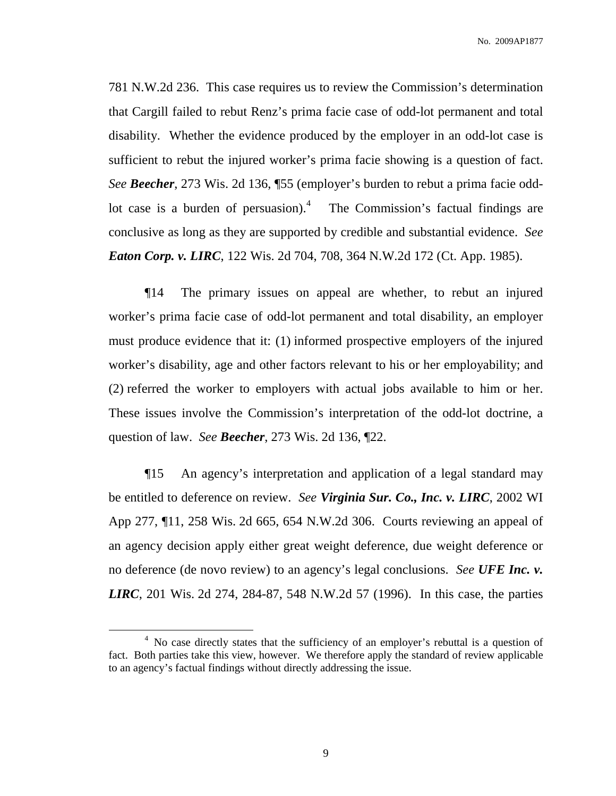781 N.W.2d 236. This case requires us to review the Commission's determination that Cargill failed to rebut Renz's prima facie case of odd-lot permanent and total disability. Whether the evidence produced by the employer in an odd-lot case is sufficient to rebut the injured worker's prima facie showing is a question of fact. *See Beecher*, 273 Wis. 2d 136, ¶55 (employer's burden to rebut a prima facie oddlot case is a burden of persuasion).<sup>4</sup> The Commission's factual findings are conclusive as long as they are supported by credible and substantial evidence. *See Eaton Corp. v. LIRC*, 122 Wis. 2d 704, 708, 364 N.W.2d 172 (Ct. App. 1985).

¶14 The primary issues on appeal are whether, to rebut an injured worker's prima facie case of odd-lot permanent and total disability, an employer must produce evidence that it: (1) informed prospective employers of the injured worker's disability, age and other factors relevant to his or her employability; and (2) referred the worker to employers with actual jobs available to him or her. These issues involve the Commission's interpretation of the odd-lot doctrine, a question of law. *See Beecher*, 273 Wis. 2d 136, ¶22.

¶15 An agency's interpretation and application of a legal standard may be entitled to deference on review. *See Virginia Sur. Co., Inc. v. LIRC*, 2002 WI App 277, ¶11, 258 Wis. 2d 665, 654 N.W.2d 306. Courts reviewing an appeal of an agency decision apply either great weight deference, due weight deference or no deference (de novo review) to an agency's legal conclusions. *See UFE Inc. v. LIRC*, 201 Wis. 2d 274, 284-87, 548 N.W.2d 57 (1996). In this case, the parties

<sup>&</sup>lt;sup>4</sup> No case directly states that the sufficiency of an employer's rebuttal is a question of fact. Both parties take this view, however. We therefore apply the standard of review applicable to an agency's factual findings without directly addressing the issue.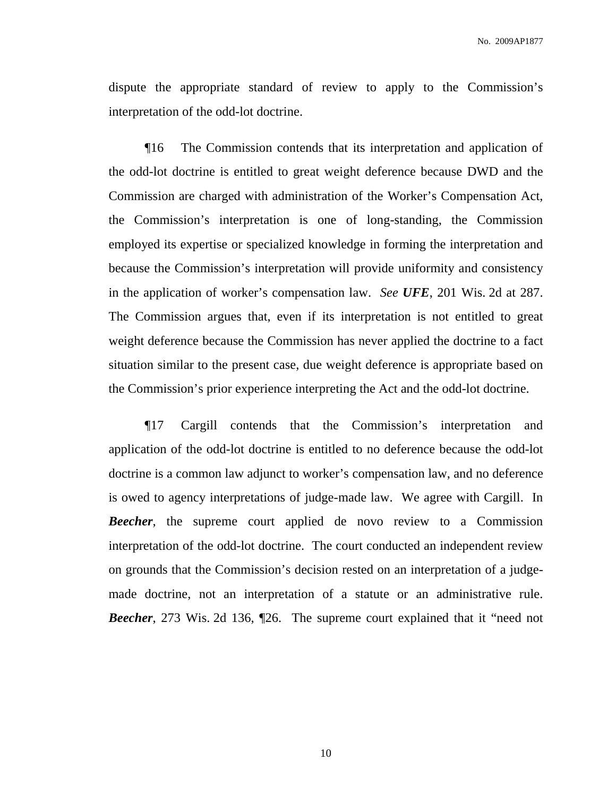dispute the appropriate standard of review to apply to the Commission's interpretation of the odd-lot doctrine.

¶16 The Commission contends that its interpretation and application of the odd-lot doctrine is entitled to great weight deference because DWD and the Commission are charged with administration of the Worker's Compensation Act, the Commission's interpretation is one of long-standing, the Commission employed its expertise or specialized knowledge in forming the interpretation and because the Commission's interpretation will provide uniformity and consistency in the application of worker's compensation law. *See UFE*, 201 Wis. 2d at 287. The Commission argues that, even if its interpretation is not entitled to great weight deference because the Commission has never applied the doctrine to a fact situation similar to the present case, due weight deference is appropriate based on the Commission's prior experience interpreting the Act and the odd-lot doctrine.

¶17 Cargill contends that the Commission's interpretation and application of the odd-lot doctrine is entitled to no deference because the odd-lot doctrine is a common law adjunct to worker's compensation law, and no deference is owed to agency interpretations of judge-made law. We agree with Cargill. In *Beecher*, the supreme court applied de novo review to a Commission interpretation of the odd-lot doctrine. The court conducted an independent review on grounds that the Commission's decision rested on an interpretation of a judgemade doctrine, not an interpretation of a statute or an administrative rule. *Beecher*, 273 Wis. 2d 136, ¶26. The supreme court explained that it "need not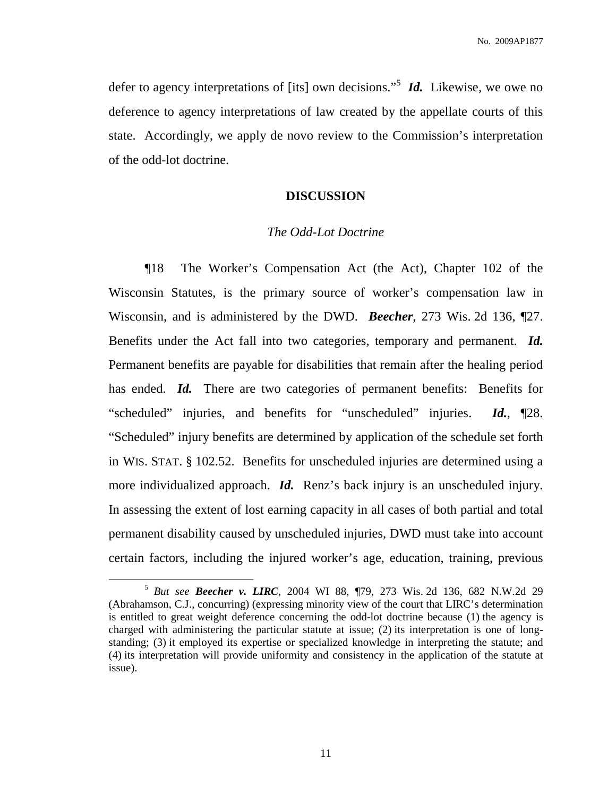defer to agency interpretations of [its] own decisions."<sup>5</sup> *Id*. Likewise, we owe no deference to agency interpretations of law created by the appellate courts of this state. Accordingly, we apply de novo review to the Commission's interpretation of the odd-lot doctrine.

# **DISCUSSION**

# *The Odd-Lot Doctrine*

¶18 The Worker's Compensation Act (the Act), Chapter 102 of the Wisconsin Statutes, is the primary source of worker's compensation law in Wisconsin, and is administered by the DWD. *Beecher*, 273 Wis. 2d 136, ¶27. Benefits under the Act fall into two categories, temporary and permanent. *Id.* Permanent benefits are payable for disabilities that remain after the healing period has ended. *Id.* There are two categories of permanent benefits: Benefits for "scheduled" injuries, and benefits for "unscheduled" injuries. *Id.*, ¶28. "Scheduled" injury benefits are determined by application of the schedule set forth in WIS. STAT. § 102.52. Benefits for unscheduled injuries are determined using a more individualized approach. *Id.* Renz's back injury is an unscheduled injury. In assessing the extent of lost earning capacity in all cases of both partial and total permanent disability caused by unscheduled injuries, DWD must take into account certain factors, including the injured worker's age, education, training, previous

<sup>5</sup> *But see Beecher v. LIRC*, 2004 WI 88, ¶79, 273 Wis. 2d 136, 682 N.W.2d 29 (Abrahamson, C.J., concurring) (expressing minority view of the court that LIRC's determination is entitled to great weight deference concerning the odd-lot doctrine because (1) the agency is charged with administering the particular statute at issue; (2) its interpretation is one of longstanding; (3) it employed its expertise or specialized knowledge in interpreting the statute; and (4) its interpretation will provide uniformity and consistency in the application of the statute at issue).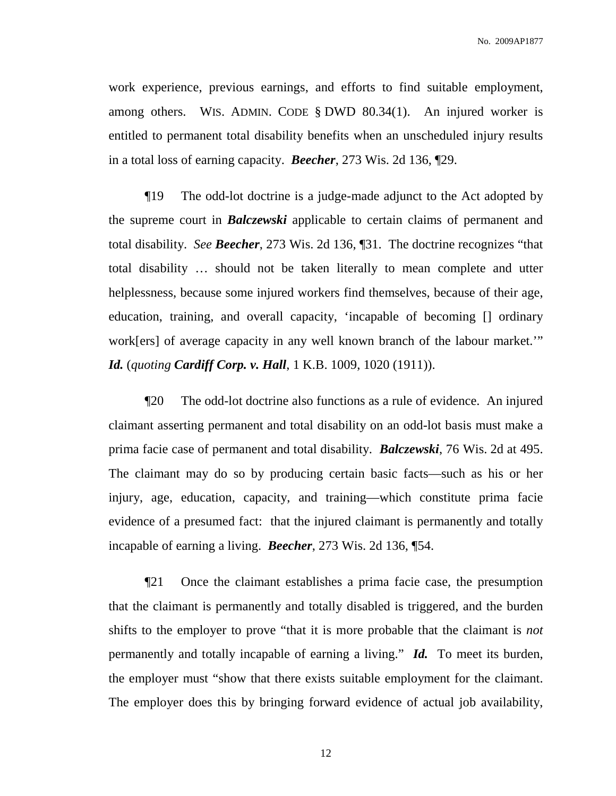work experience, previous earnings, and efforts to find suitable employment, among others. WIS. ADMIN. CODE § DWD 80.34(1). An injured worker is entitled to permanent total disability benefits when an unscheduled injury results in a total loss of earning capacity. *Beecher*, 273 Wis. 2d 136, ¶29.

¶19 The odd-lot doctrine is a judge-made adjunct to the Act adopted by the supreme court in *Balczewski* applicable to certain claims of permanent and total disability. *See Beecher*, 273 Wis. 2d 136, ¶31. The doctrine recognizes "that total disability … should not be taken literally to mean complete and utter helplessness, because some injured workers find themselves, because of their age, education, training, and overall capacity, 'incapable of becoming [] ordinary work[ers] of average capacity in any well known branch of the labour market.'" *Id.* (*quoting Cardiff Corp. v. Hall*, 1 K.B. 1009, 1020 (1911)).

¶20 The odd-lot doctrine also functions as a rule of evidence. An injured claimant asserting permanent and total disability on an odd-lot basis must make a prima facie case of permanent and total disability. *Balczewski*, 76 Wis. 2d at 495. The claimant may do so by producing certain basic facts—such as his or her injury, age, education, capacity, and training—which constitute prima facie evidence of a presumed fact: that the injured claimant is permanently and totally incapable of earning a living. *Beecher*, 273 Wis. 2d 136, ¶54.

¶21 Once the claimant establishes a prima facie case, the presumption that the claimant is permanently and totally disabled is triggered, and the burden shifts to the employer to prove "that it is more probable that the claimant is *not* permanently and totally incapable of earning a living." *Id.* To meet its burden, the employer must "show that there exists suitable employment for the claimant. The employer does this by bringing forward evidence of actual job availability,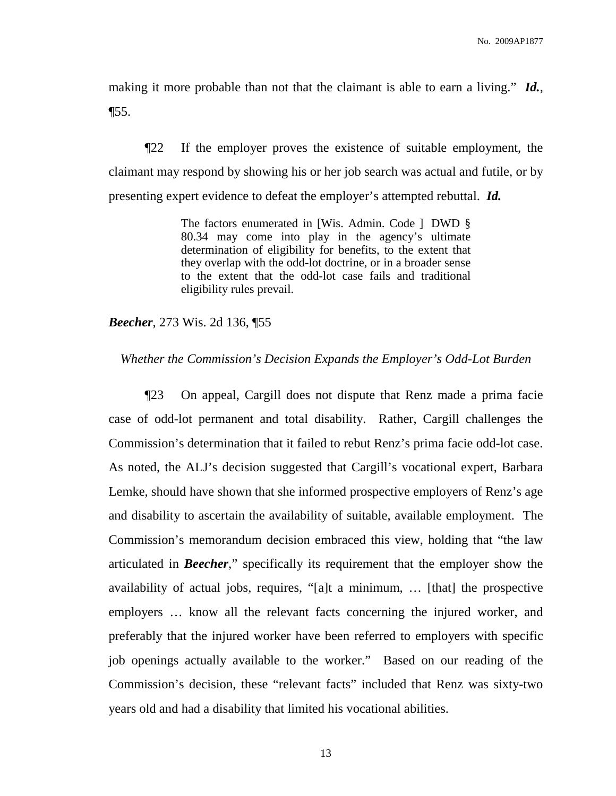making it more probable than not that the claimant is able to earn a living." *Id.*,  $\P$ 55.

¶22 If the employer proves the existence of suitable employment, the claimant may respond by showing his or her job search was actual and futile, or by presenting expert evidence to defeat the employer's attempted rebuttal. *Id.*

> The factors enumerated in [Wis. Admin. Code ] DWD § 80.34 may come into play in the agency's ultimate determination of eligibility for benefits, to the extent that they overlap with the odd-lot doctrine, or in a broader sense to the extent that the odd-lot case fails and traditional eligibility rules prevail.

*Beecher*, 273 Wis. 2d 136, ¶55

*Whether the Commission's Decision Expands the Employer's Odd-Lot Burden*

¶23 On appeal, Cargill does not dispute that Renz made a prima facie case of odd-lot permanent and total disability. Rather, Cargill challenges the Commission's determination that it failed to rebut Renz's prima facie odd-lot case. As noted, the ALJ's decision suggested that Cargill's vocational expert, Barbara Lemke, should have shown that she informed prospective employers of Renz's age and disability to ascertain the availability of suitable, available employment. The Commission's memorandum decision embraced this view, holding that "the law articulated in *Beecher*," specifically its requirement that the employer show the availability of actual jobs, requires, "[a]t a minimum, … [that] the prospective employers … know all the relevant facts concerning the injured worker, and preferably that the injured worker have been referred to employers with specific job openings actually available to the worker." Based on our reading of the Commission's decision, these "relevant facts" included that Renz was sixty-two years old and had a disability that limited his vocational abilities.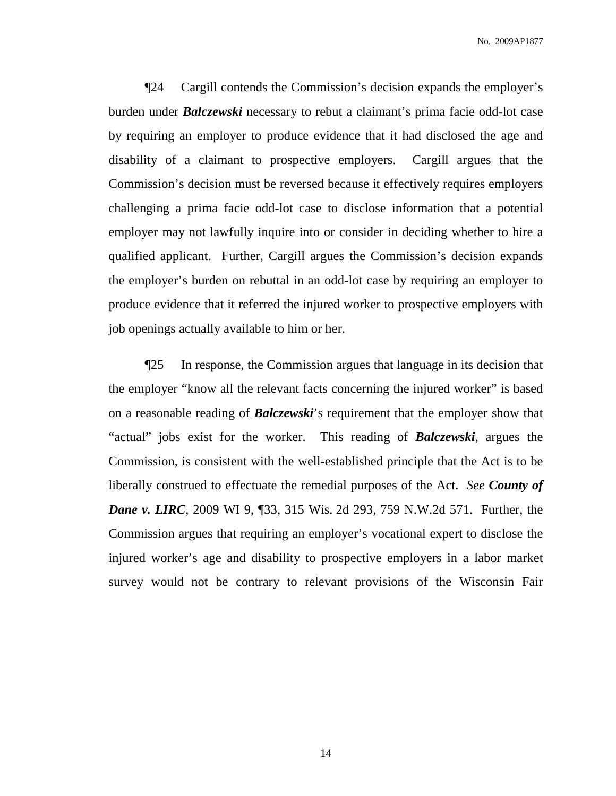¶24 Cargill contends the Commission's decision expands the employer's burden under *Balczewski* necessary to rebut a claimant's prima facie odd-lot case by requiring an employer to produce evidence that it had disclosed the age and disability of a claimant to prospective employers. Cargill argues that the Commission's decision must be reversed because it effectively requires employers challenging a prima facie odd-lot case to disclose information that a potential employer may not lawfully inquire into or consider in deciding whether to hire a qualified applicant. Further, Cargill argues the Commission's decision expands the employer's burden on rebuttal in an odd-lot case by requiring an employer to produce evidence that it referred the injured worker to prospective employers with job openings actually available to him or her.

¶25 In response, the Commission argues that language in its decision that the employer "know all the relevant facts concerning the injured worker" is based on a reasonable reading of *Balczewski*'s requirement that the employer show that "actual" jobs exist for the worker. This reading of *Balczewski*, argues the Commission, is consistent with the well-established principle that the Act is to be liberally construed to effectuate the remedial purposes of the Act. *See County of Dane v. LIRC*, 2009 WI 9, ¶33, 315 Wis. 2d 293, 759 N.W.2d 571. Further, the Commission argues that requiring an employer's vocational expert to disclose the injured worker's age and disability to prospective employers in a labor market survey would not be contrary to relevant provisions of the Wisconsin Fair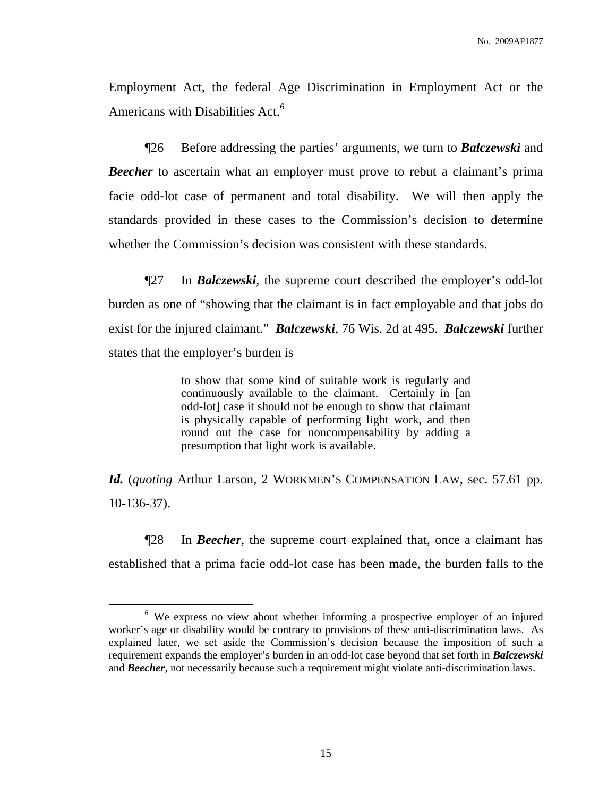Employment Act, the federal Age Discrimination in Employment Act or the Americans with Disabilities Act.<sup>6</sup>

¶26 Before addressing the parties' arguments, we turn to *Balczewski* and *Beecher* to ascertain what an employer must prove to rebut a claimant's prima facie odd-lot case of permanent and total disability. We will then apply the standards provided in these cases to the Commission's decision to determine whether the Commission's decision was consistent with these standards.

¶27 In *Balczewski*, the supreme court described the employer's odd-lot burden as one of "showing that the claimant is in fact employable and that jobs do exist for the injured claimant." *Balczewski*, 76 Wis. 2d at 495. *Balczewski* further states that the employer's burden is

> to show that some kind of suitable work is regularly and continuously available to the claimant. Certainly in [an odd-lot] case it should not be enough to show that claimant is physically capable of performing light work, and then round out the case for noncompensability by adding a presumption that light work is available.

*Id.* (*quoting* Arthur Larson, 2 WORKMEN'S COMPENSATION LAW, sec. 57.61 pp. 10-136-37).

¶28 In *Beecher*, the supreme court explained that, once a claimant has established that a prima facie odd-lot case has been made, the burden falls to the

<sup>&</sup>lt;sup>6</sup> We express no view about whether informing a prospective employer of an injured worker's age or disability would be contrary to provisions of these anti-discrimination laws. As explained later, we set aside the Commission's decision because the imposition of such a requirement expands the employer's burden in an odd-lot case beyond that set forth in *Balczewski* and *Beecher*, not necessarily because such a requirement might violate anti-discrimination laws.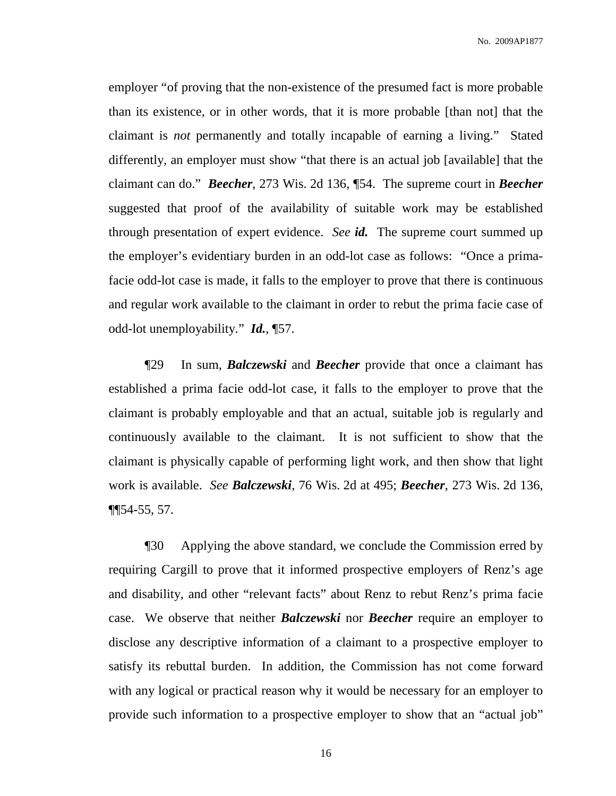employer "of proving that the non-existence of the presumed fact is more probable than its existence, or in other words, that it is more probable [than not] that the claimant is *not* permanently and totally incapable of earning a living." Stated differently, an employer must show "that there is an actual job [available] that the claimant can do." *Beecher*, 273 Wis. 2d 136, ¶54. The supreme court in *Beecher* suggested that proof of the availability of suitable work may be established through presentation of expert evidence. *See id.* The supreme court summed up the employer's evidentiary burden in an odd-lot case as follows: "Once a primafacie odd-lot case is made, it falls to the employer to prove that there is continuous and regular work available to the claimant in order to rebut the prima facie case of odd-lot unemployability." *Id.*, ¶57.

¶29 In sum, *Balczewski* and *Beecher* provide that once a claimant has established a prima facie odd-lot case, it falls to the employer to prove that the claimant is probably employable and that an actual, suitable job is regularly and continuously available to the claimant. It is not sufficient to show that the claimant is physically capable of performing light work, and then show that light work is available. *See Balczewski*, 76 Wis. 2d at 495; *Beecher*, 273 Wis. 2d 136, ¶¶54-55, 57.

¶30 Applying the above standard, we conclude the Commission erred by requiring Cargill to prove that it informed prospective employers of Renz's age and disability, and other "relevant facts" about Renz to rebut Renz's prima facie case. We observe that neither *Balczewski* nor *Beecher* require an employer to disclose any descriptive information of a claimant to a prospective employer to satisfy its rebuttal burden. In addition, the Commission has not come forward with any logical or practical reason why it would be necessary for an employer to provide such information to a prospective employer to show that an "actual job"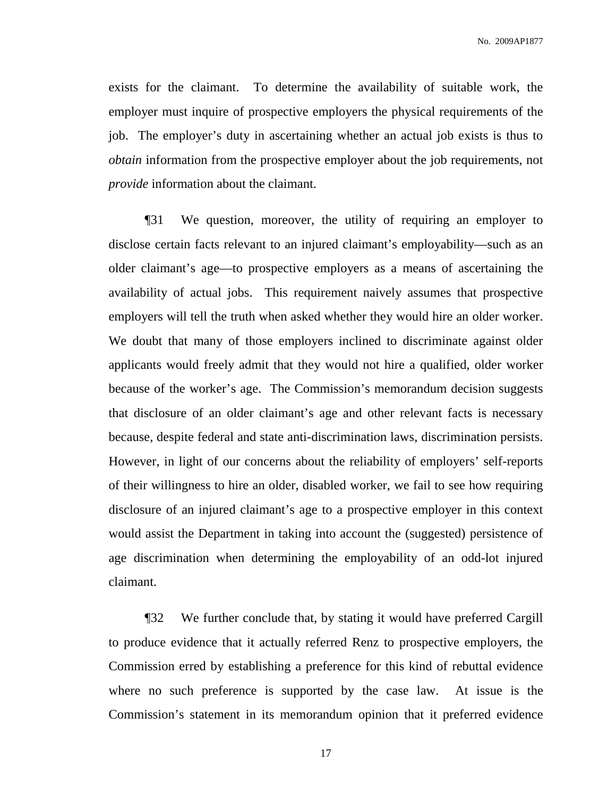exists for the claimant. To determine the availability of suitable work, the employer must inquire of prospective employers the physical requirements of the job. The employer's duty in ascertaining whether an actual job exists is thus to *obtain* information from the prospective employer about the job requirements, not *provide* information about the claimant.

¶31 We question, moreover, the utility of requiring an employer to disclose certain facts relevant to an injured claimant's employability—such as an older claimant's age—to prospective employers as a means of ascertaining the availability of actual jobs. This requirement naively assumes that prospective employers will tell the truth when asked whether they would hire an older worker. We doubt that many of those employers inclined to discriminate against older applicants would freely admit that they would not hire a qualified, older worker because of the worker's age. The Commission's memorandum decision suggests that disclosure of an older claimant's age and other relevant facts is necessary because, despite federal and state anti-discrimination laws, discrimination persists. However, in light of our concerns about the reliability of employers' self-reports of their willingness to hire an older, disabled worker, we fail to see how requiring disclosure of an injured claimant's age to a prospective employer in this context would assist the Department in taking into account the (suggested) persistence of age discrimination when determining the employability of an odd-lot injured claimant.

¶32 We further conclude that, by stating it would have preferred Cargill to produce evidence that it actually referred Renz to prospective employers, the Commission erred by establishing a preference for this kind of rebuttal evidence where no such preference is supported by the case law. At issue is the Commission's statement in its memorandum opinion that it preferred evidence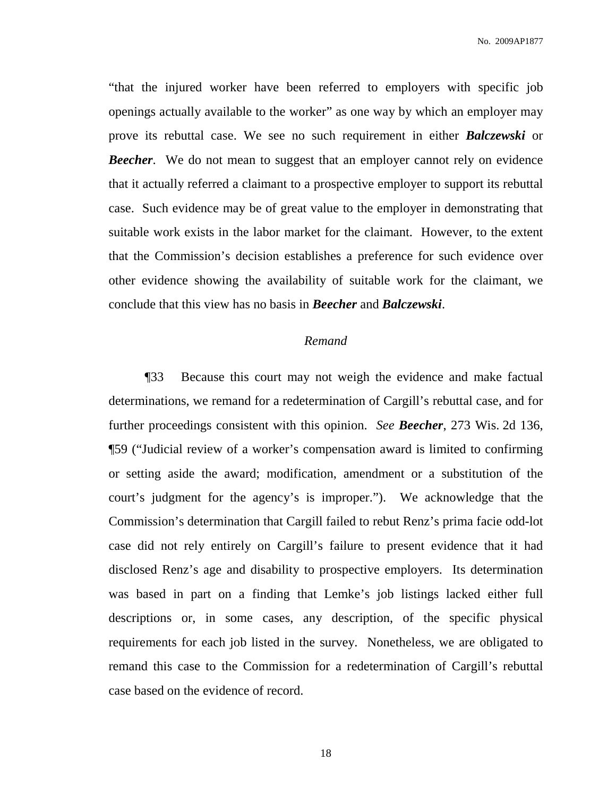No. 2009AP1877

"that the injured worker have been referred to employers with specific job openings actually available to the worker" as one way by which an employer may prove its rebuttal case. We see no such requirement in either *Balczewski* or *Beecher*. We do not mean to suggest that an employer cannot rely on evidence that it actually referred a claimant to a prospective employer to support its rebuttal case. Such evidence may be of great value to the employer in demonstrating that suitable work exists in the labor market for the claimant. However, to the extent that the Commission's decision establishes a preference for such evidence over other evidence showing the availability of suitable work for the claimant, we conclude that this view has no basis in *Beecher* and *Balczewski*.

# *Remand*

¶33 Because this court may not weigh the evidence and make factual determinations, we remand for a redetermination of Cargill's rebuttal case, and for further proceedings consistent with this opinion. *See Beecher*, 273 Wis. 2d 136, ¶59 ("Judicial review of a worker's compensation award is limited to confirming or setting aside the award; modification, amendment or a substitution of the court's judgment for the agency's is improper."). We acknowledge that the Commission's determination that Cargill failed to rebut Renz's prima facie odd-lot case did not rely entirely on Cargill's failure to present evidence that it had disclosed Renz's age and disability to prospective employers. Its determination was based in part on a finding that Lemke's job listings lacked either full descriptions or, in some cases, any description, of the specific physical requirements for each job listed in the survey. Nonetheless, we are obligated to remand this case to the Commission for a redetermination of Cargill's rebuttal case based on the evidence of record.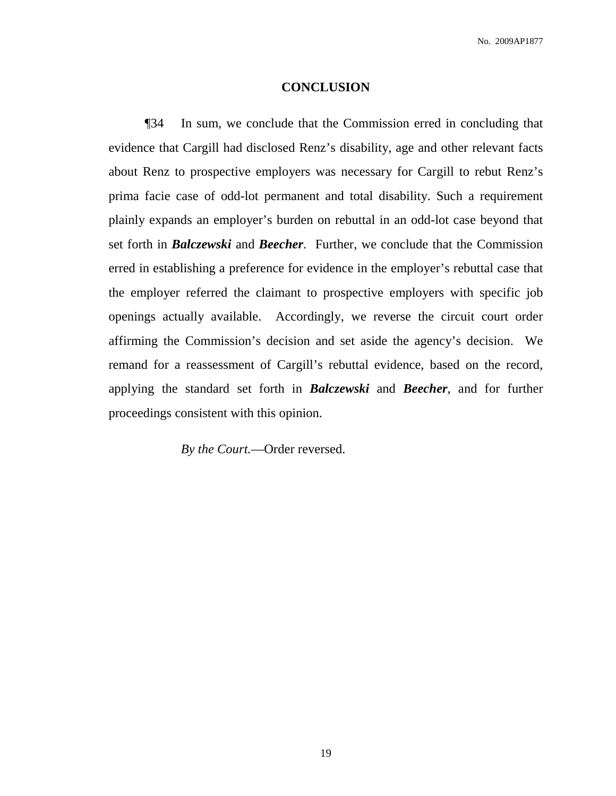#### **CONCLUSION**

¶34 In sum, we conclude that the Commission erred in concluding that evidence that Cargill had disclosed Renz's disability, age and other relevant facts about Renz to prospective employers was necessary for Cargill to rebut Renz's prima facie case of odd-lot permanent and total disability. Such a requirement plainly expands an employer's burden on rebuttal in an odd-lot case beyond that set forth in *Balczewski* and *Beecher*. Further, we conclude that the Commission erred in establishing a preference for evidence in the employer's rebuttal case that the employer referred the claimant to prospective employers with specific job openings actually available. Accordingly, we reverse the circuit court order affirming the Commission's decision and set aside the agency's decision. We remand for a reassessment of Cargill's rebuttal evidence, based on the record, applying the standard set forth in *Balczewski* and *Beecher*, and for further proceedings consistent with this opinion.

*By the Court.*—Order reversed.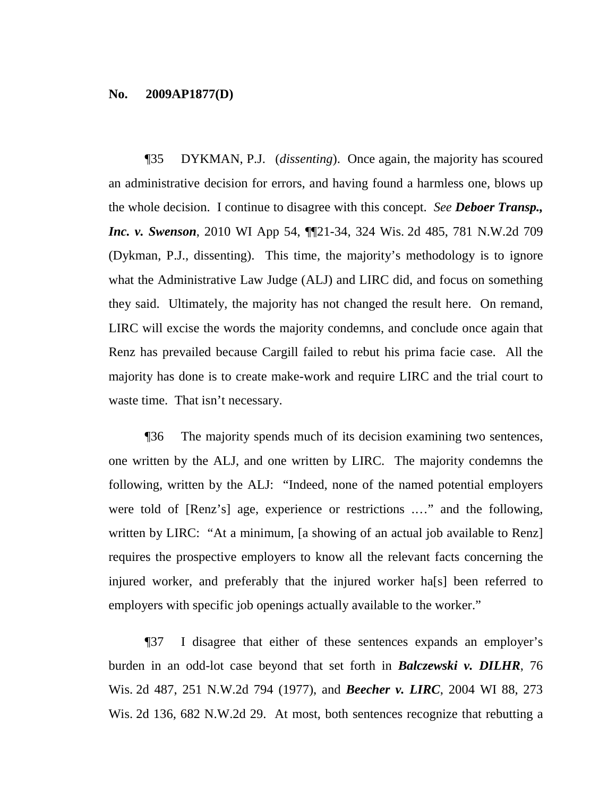### **No. 2009AP1877(D)**

¶35 DYKMAN, P.J. (*dissenting*). Once again, the majority has scoured an administrative decision for errors, and having found a harmless one, blows up the whole decision. I continue to disagree with this concept. *See Deboer Transp., Inc. v. Swenson*, 2010 WI App 54, ¶¶21-34, 324 Wis. 2d 485, 781 N.W.2d 709 (Dykman, P.J., dissenting). This time, the majority's methodology is to ignore what the Administrative Law Judge (ALJ) and LIRC did, and focus on something they said. Ultimately, the majority has not changed the result here. On remand, LIRC will excise the words the majority condemns, and conclude once again that Renz has prevailed because Cargill failed to rebut his prima facie case. All the majority has done is to create make-work and require LIRC and the trial court to waste time. That isn't necessary.

¶36 The majority spends much of its decision examining two sentences, one written by the ALJ, and one written by LIRC. The majority condemns the following, written by the ALJ: "Indeed, none of the named potential employers were told of [Renz's] age, experience or restrictions .…" and the following, written by LIRC: "At a minimum, [a showing of an actual job available to Renz] requires the prospective employers to know all the relevant facts concerning the injured worker, and preferably that the injured worker ha[s] been referred to employers with specific job openings actually available to the worker."

¶37 I disagree that either of these sentences expands an employer's burden in an odd-lot case beyond that set forth in *Balczewski v. DILHR*, 76 Wis. 2d 487, 251 N.W.2d 794 (1977), and *Beecher v. LIRC*, 2004 WI 88, 273 Wis. 2d 136, 682 N.W.2d 29. At most, both sentences recognize that rebutting a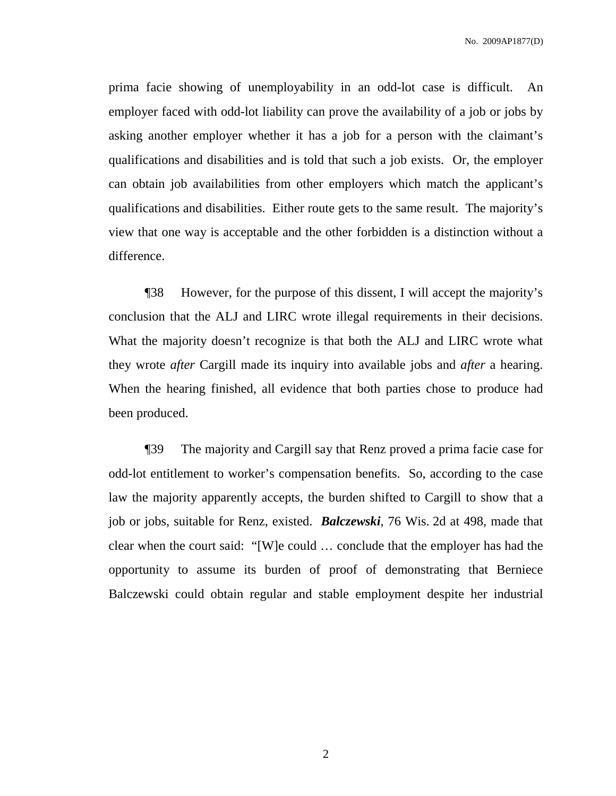No. 2009AP1877(D)

prima facie showing of unemployability in an odd-lot case is difficult. An employer faced with odd-lot liability can prove the availability of a job or jobs by asking another employer whether it has a job for a person with the claimant's qualifications and disabilities and is told that such a job exists. Or, the employer can obtain job availabilities from other employers which match the applicant's qualifications and disabilities. Either route gets to the same result. The majority's view that one way is acceptable and the other forbidden is a distinction without a difference.

¶38 However, for the purpose of this dissent, I will accept the majority's conclusion that the ALJ and LIRC wrote illegal requirements in their decisions. What the majority doesn't recognize is that both the ALJ and LIRC wrote what they wrote *after* Cargill made its inquiry into available jobs and *after* a hearing. When the hearing finished, all evidence that both parties chose to produce had been produced.

¶39 The majority and Cargill say that Renz proved a prima facie case for odd-lot entitlement to worker's compensation benefits. So, according to the case law the majority apparently accepts, the burden shifted to Cargill to show that a job or jobs, suitable for Renz, existed. *Balczewski*, 76 Wis. 2d at 498, made that clear when the court said: "[W]e could … conclude that the employer has had the opportunity to assume its burden of proof of demonstrating that Berniece Balczewski could obtain regular and stable employment despite her industrial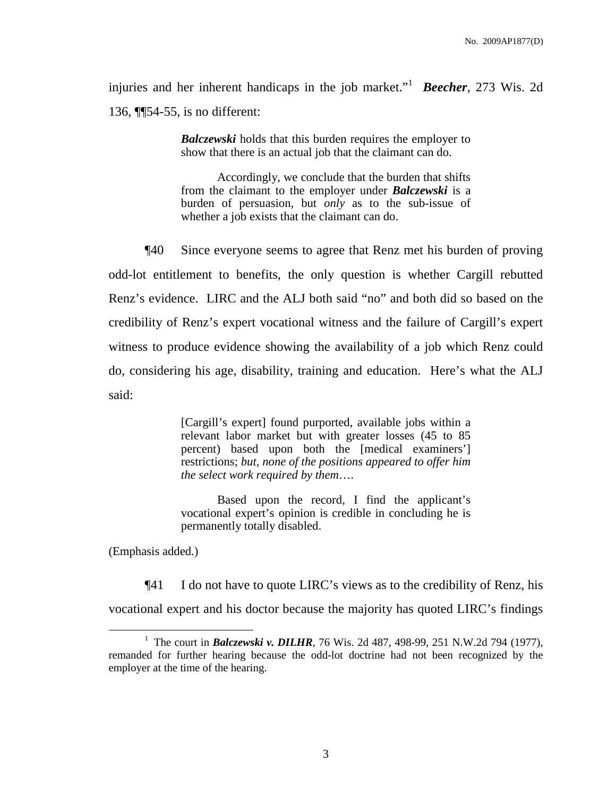injuries and her inherent handicaps in the job market." <sup>1</sup> *Beecher*, 273 Wis. 2d 136, ¶¶54-55, is no different:

> *Balczewski* holds that this burden requires the employer to show that there is an actual job that the claimant can do.

> Accordingly, we conclude that the burden that shifts from the claimant to the employer under *Balczewski* is a burden of persuasion, but *only* as to the sub-issue of whether a job exists that the claimant can do.

¶40 Since everyone seems to agree that Renz met his burden of proving odd-lot entitlement to benefits, the only question is whether Cargill rebutted Renz's evidence. LIRC and the ALJ both said "no" and both did so based on the credibility of Renz's expert vocational witness and the failure of Cargill's expert witness to produce evidence showing the availability of a job which Renz could do, considering his age, disability, training and education. Here's what the ALJ said:

> [Cargill's expert] found purported, available jobs within a relevant labor market but with greater losses (45 to 85 percent) based upon both the [medical examiners'] restrictions; *but, none of the positions appeared to offer him the select work required by them*….

> Based upon the record, I find the applicant's vocational expert's opinion is credible in concluding he is permanently totally disabled.

(Emphasis added.)

¶41 I do not have to quote LIRC's views as to the credibility of Renz, his vocational expert and his doctor because the majority has quoted LIRC's findings

<sup>&</sup>lt;sup>1</sup> The court in *Balczewski v. DILHR*, 76 Wis. 2d 487, 498-99, 251 N.W.2d 794 (1977), remanded for further hearing because the odd-lot doctrine had not been recognized by the employer at the time of the hearing.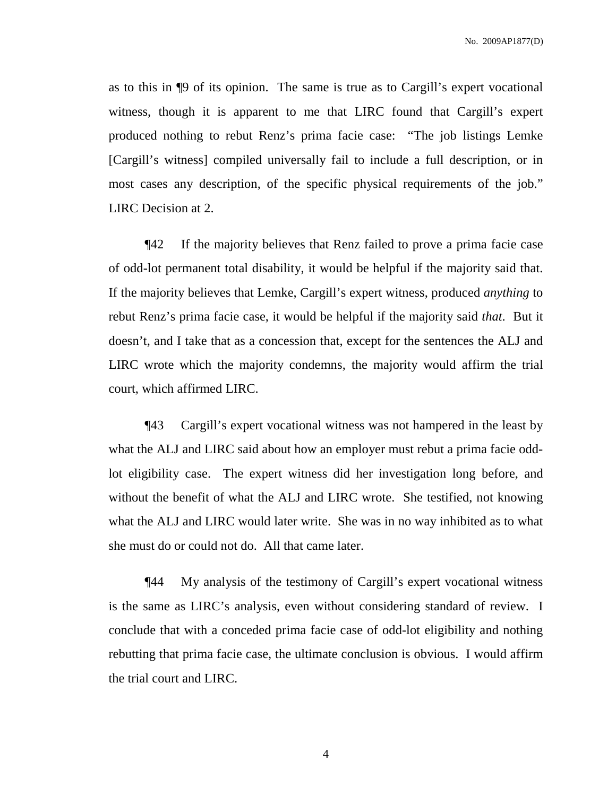as to this in ¶9 of its opinion. The same is true as to Cargill's expert vocational witness, though it is apparent to me that LIRC found that Cargill's expert produced nothing to rebut Renz's prima facie case: "The job listings Lemke [Cargill's witness] compiled universally fail to include a full description, or in most cases any description, of the specific physical requirements of the job." LIRC Decision at 2.

¶42 If the majority believes that Renz failed to prove a prima facie case of odd-lot permanent total disability, it would be helpful if the majority said that. If the majority believes that Lemke, Cargill's expert witness, produced *anything* to rebut Renz's prima facie case, it would be helpful if the majority said *that*. But it doesn't, and I take that as a concession that, except for the sentences the ALJ and LIRC wrote which the majority condemns, the majority would affirm the trial court, which affirmed LIRC.

¶43 Cargill's expert vocational witness was not hampered in the least by what the ALJ and LIRC said about how an employer must rebut a prima facie oddlot eligibility case. The expert witness did her investigation long before, and without the benefit of what the ALJ and LIRC wrote. She testified, not knowing what the ALJ and LIRC would later write. She was in no way inhibited as to what she must do or could not do. All that came later.

¶44 My analysis of the testimony of Cargill's expert vocational witness is the same as LIRC's analysis, even without considering standard of review. I conclude that with a conceded prima facie case of odd-lot eligibility and nothing rebutting that prima facie case, the ultimate conclusion is obvious. I would affirm the trial court and LIRC.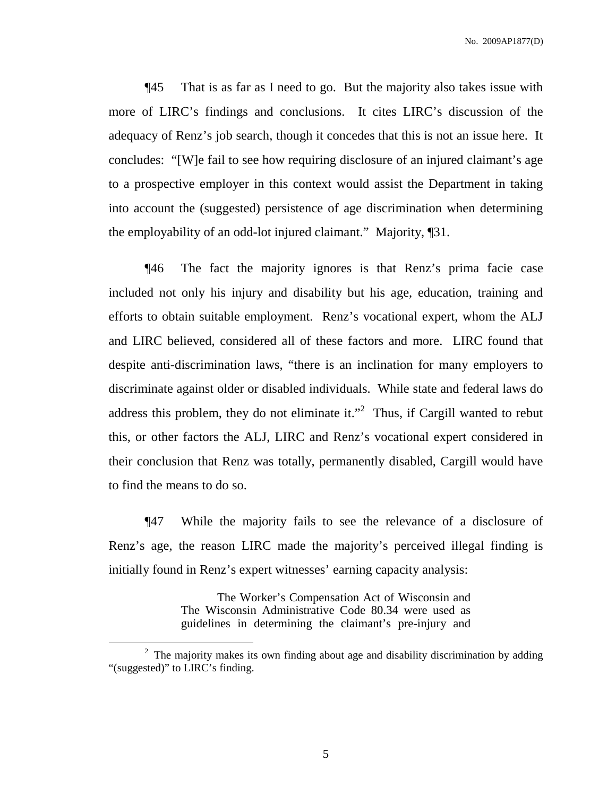No. 2009AP1877(D)

¶45 That is as far as I need to go. But the majority also takes issue with more of LIRC's findings and conclusions. It cites LIRC's discussion of the adequacy of Renz's job search, though it concedes that this is not an issue here. It concludes: "[W]e fail to see how requiring disclosure of an injured claimant's age to a prospective employer in this context would assist the Department in taking into account the (suggested) persistence of age discrimination when determining the employability of an odd-lot injured claimant." Majority, ¶31.

¶46 The fact the majority ignores is that Renz's prima facie case included not only his injury and disability but his age, education, training and efforts to obtain suitable employment. Renz's vocational expert, whom the ALJ and LIRC believed, considered all of these factors and more. LIRC found that despite anti-discrimination laws, "there is an inclination for many employers to discriminate against older or disabled individuals. While state and federal laws do address this problem, they do not eliminate it."<sup>2</sup> Thus, if Cargill wanted to rebut this, or other factors the ALJ, LIRC and Renz's vocational expert considered in their conclusion that Renz was totally, permanently disabled, Cargill would have to find the means to do so.

¶47 While the majority fails to see the relevance of a disclosure of Renz's age, the reason LIRC made the majority's perceived illegal finding is initially found in Renz's expert witnesses' earning capacity analysis:

> The Worker's Compensation Act of Wisconsin and The Wisconsin Administrative Code 80.34 were used as guidelines in determining the claimant's pre-injury and

 $2$  The majority makes its own finding about age and disability discrimination by adding "(suggested)" to LIRC's finding.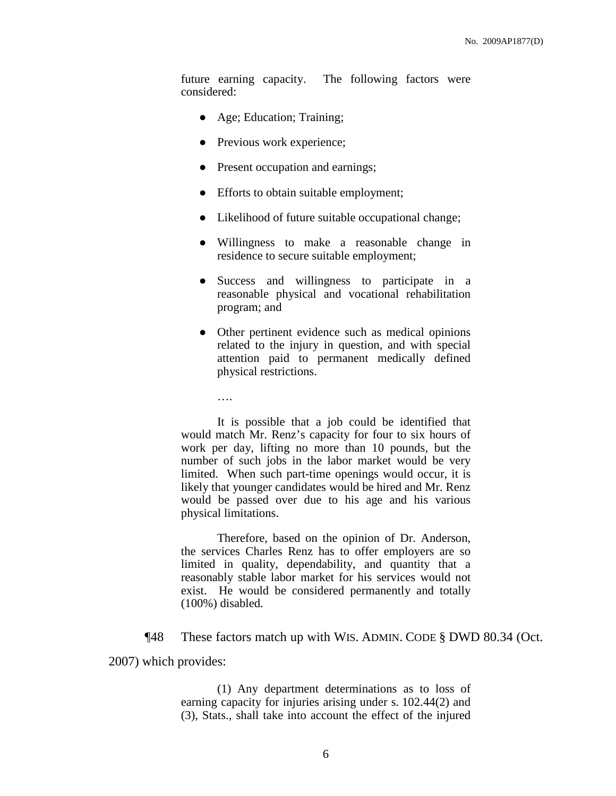future earning capacity. The following factors were considered:

- Age; Education; Training;
- Previous work experience;

….

- Present occupation and earnings;
- Efforts to obtain suitable employment;
- Likelihood of future suitable occupational change;
- Willingness to make a reasonable change in residence to secure suitable employment;
- Success and willingness to participate in a reasonable physical and vocational rehabilitation program; and
- Other pertinent evidence such as medical opinions related to the injury in question, and with special attention paid to permanent medically defined physical restrictions.

It is possible that a job could be identified that would match Mr. Renz's capacity for four to six hours of work per day, lifting no more than 10 pounds, but the number of such jobs in the labor market would be very limited. When such part-time openings would occur, it is likely that younger candidates would be hired and Mr. Renz would be passed over due to his age and his various physical limitations.

Therefore, based on the opinion of Dr. Anderson, the services Charles Renz has to offer employers are so limited in quality, dependability, and quantity that a reasonably stable labor market for his services would not exist. He would be considered permanently and totally (100%) disabled.

¶48 These factors match up with WIS. ADMIN. CODE § DWD 80.34 (Oct.

2007) which provides:

(1) Any department determinations as to loss of earning capacity for injuries arising under s. 102.44(2) and (3), Stats., shall take into account the effect of the injured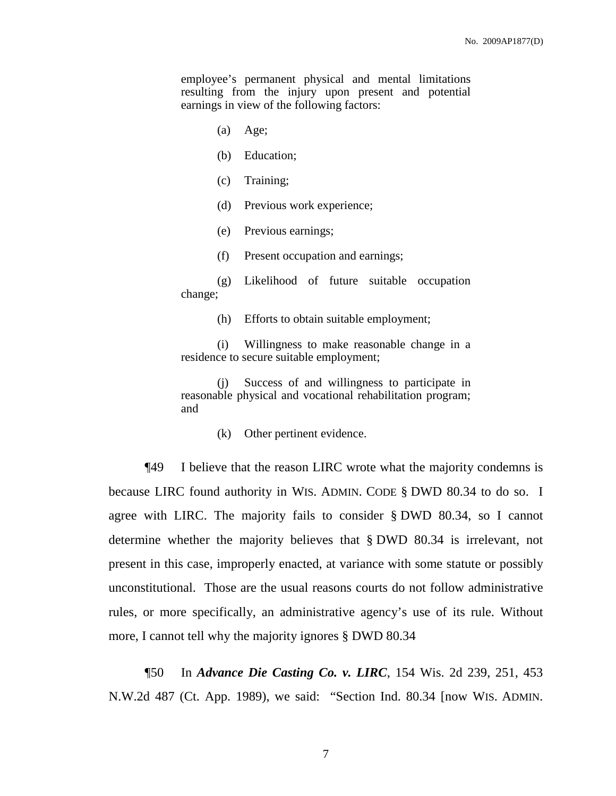employee's permanent physical and mental limitations resulting from the injury upon present and potential earnings in view of the following factors:

- (a) Age;
- (b) Education;
- (c) Training;
- (d) Previous work experience;
- (e) Previous earnings;
- (f) Present occupation and earnings;

(g) Likelihood of future suitable occupation change;

(h) Efforts to obtain suitable employment;

(i) Willingness to make reasonable change in a residence to secure suitable employment;

(j) Success of and willingness to participate in reasonable physical and vocational rehabilitation program; and

(k) Other pertinent evidence.

¶49 I believe that the reason LIRC wrote what the majority condemns is because LIRC found authority in WIS. ADMIN. CODE § DWD 80.34 to do so. I agree with LIRC. The majority fails to consider § DWD 80.34, so I cannot determine whether the majority believes that § DWD 80.34 is irrelevant, not present in this case, improperly enacted, at variance with some statute or possibly unconstitutional. Those are the usual reasons courts do not follow administrative rules, or more specifically, an administrative agency's use of its rule. Without more, I cannot tell why the majority ignores § DWD 80.34

¶50 In *Advance Die Casting Co. v. LIRC*, 154 Wis. 2d 239, 251, 453 N.W.2d 487 (Ct. App. 1989), we said: "Section Ind. 80.34 [now WIS. ADMIN.